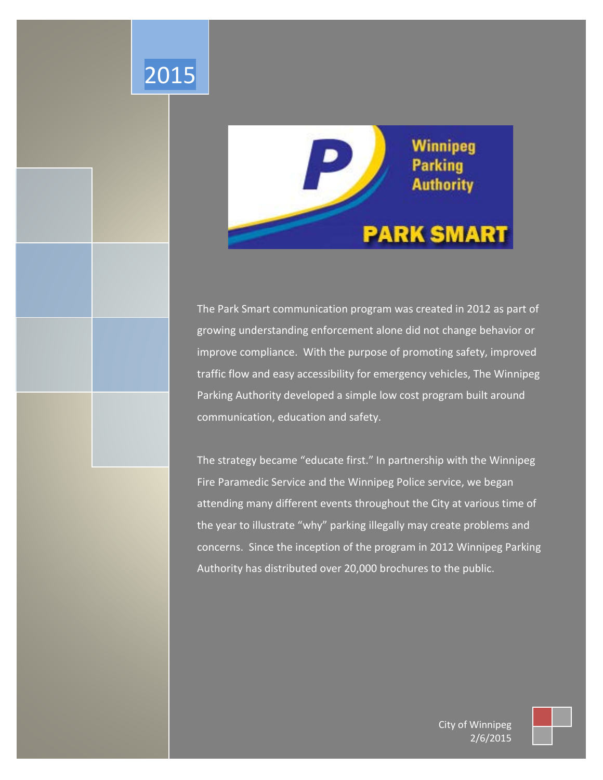

2015

The Park Smart communication program was created in 2012 as part of growing understanding enforcement alone did not change behavior or improve compliance. With the purpose of promoting safety, improved traffic flow and easy accessibility for emergency vehicles, The Winnipeg Parking Authority developed a simple low cost program built around communication, education and safety.

The strategy became "educate first." In partnership with the Winnipeg Fire Paramedic Service and the Winnipeg Police service, we began attending many different events throughout the City at various time of the year to illustrate "why" parking illegally may create problems and concerns. Since the inception of the program in 2012 Winnipeg Parking Authority has distributed over 20,000 brochures to the public.

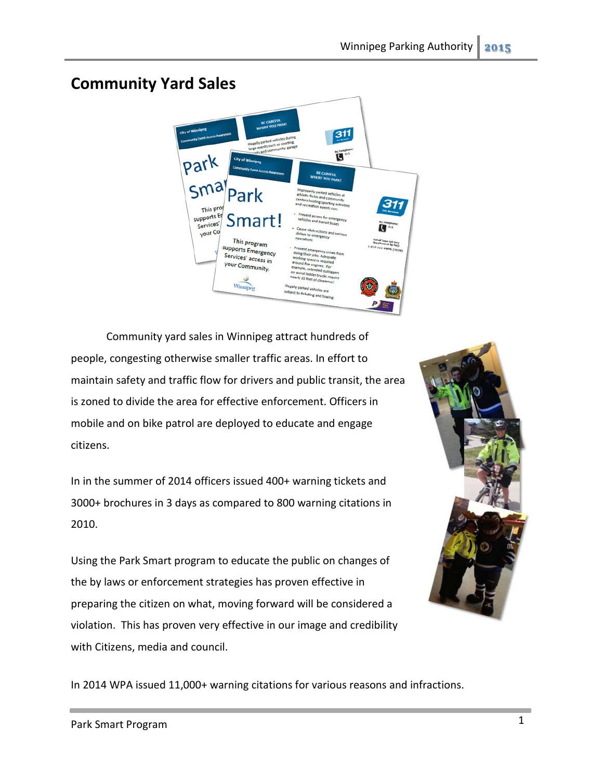## **Community Yard Sales**



Community yard sales in Winnipeg attract hundreds of people, congesting otherwise smaller traffic areas. In effort to maintain safety and traffic flow for drivers and public transit, the area is zoned to divide the area for effective enforcement. Officers in mobile and on bike patrol are deployed to educate and engage citizens.

In in the summer of 2014 officers issued 400+ warning tickets and 3000+ brochures in 3 days as compared to 800 warning citations in 2010.

Using the Park Smart program to educate the public on changes of the by laws or enforcement strategies has proven effective in preparing the citizen on what, moving forward will be considered a violation. This has proven very effective in our image and credibility with Citizens, media and council.



In 2014 WPA issued 11,000+ warning citations for various reasons and infractions.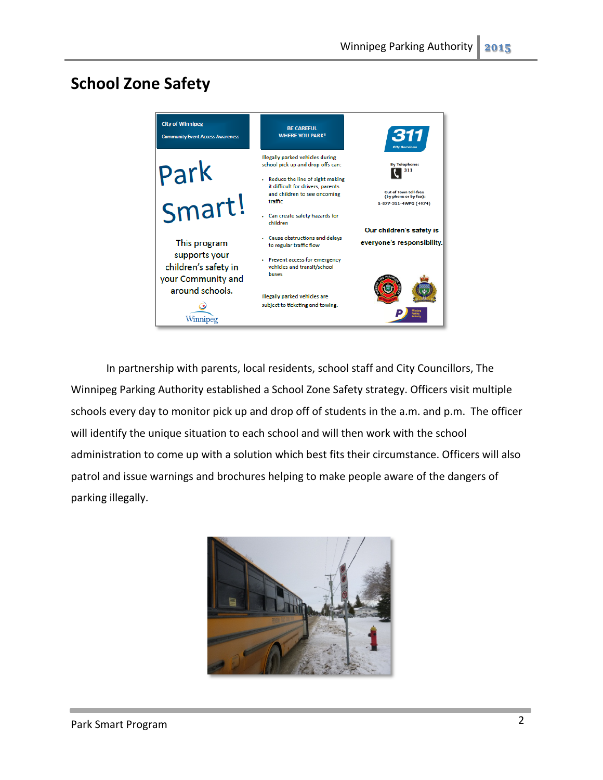## **School Zone Safety**



In partnership with parents, local residents, school staff and City Councillors, The Winnipeg Parking Authority established a School Zone Safety strategy. Officers visit multiple schools every day to monitor pick up and drop off of students in the a.m. and p.m. The officer will identify the unique situation to each school and will then work with the school administration to come up with a solution which best fits their circumstance. Officers will also patrol and issue warnings and brochures helping to make people aware of the dangers of parking illegally.